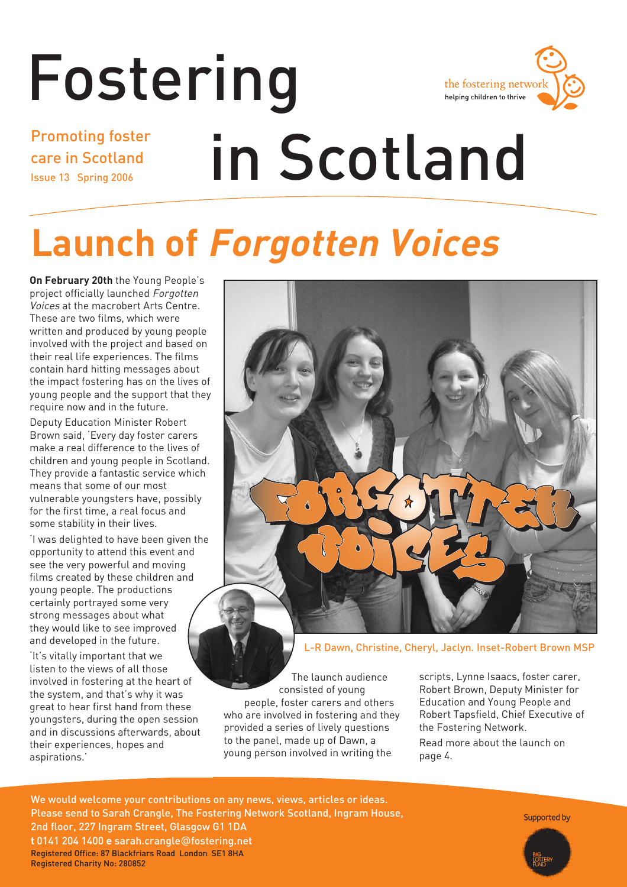# Fostering



Promoting foster care in Scotland Issue 13 Spring 2006

# in Scotland

# **Launch of Forgotten Voices**

**On February 20th** the Young People's project officially launched Forgotten Voices at the macrobert Arts Centre. These are two films, which were written and produced by young people involved with the project and based on their real life experiences. The films contain hard hitting messages about the impact fostering has on the lives of young people and the support that they require now and in the future.

Deputy Education Minister Robert Brown said, 'Every day foster carers make a real difference to the lives of children and young people in Scotland. They provide a fantastic service which means that some of our most vulnerable youngsters have, possibly for the first time, a real focus and some stability in their lives.

'I was delighted to have been given the opportunity to attend this event and see the very powerful and moving films created by these children and young people. The productions certainly portrayed some very strong messages about what they would like to see improved and developed in the future.

'It's vitally important that we listen to the views of all those involved in fostering at the heart of the system, and that's why it was great to hear first hand from these youngsters, during the open session and in discussions afterwards, about their experiences, hopes and aspirations.'



L-R Dawn, Christine, Cheryl, Jaclyn. Inset-Robert Brown MSP

The launch audience consisted of young people, foster carers and others who are involved in fostering and they provided a series of lively questions to the panel, made up of Dawn, a young person involved in writing the

scripts, Lynne Isaacs, foster carer, Robert Brown, Deputy Minister for Education and Young People and Robert Tapsfield, Chief Executive of the Fostering Network.

Read more about the launch on page 4.

We would welcome your contributions on any news, views, articles or ideas. Please send to Sarah Crangle, The Fostering Network Scotland, Ingram House, 2nd floor, 227 Ingram Street, Glasgow G1 1DA **t** 0141 204 1400 **e** sarah.crangle@fostering.net Registered Office: 87 Blackfriars Road London SE1 8HA Registered Charity No: 280852

Supported by

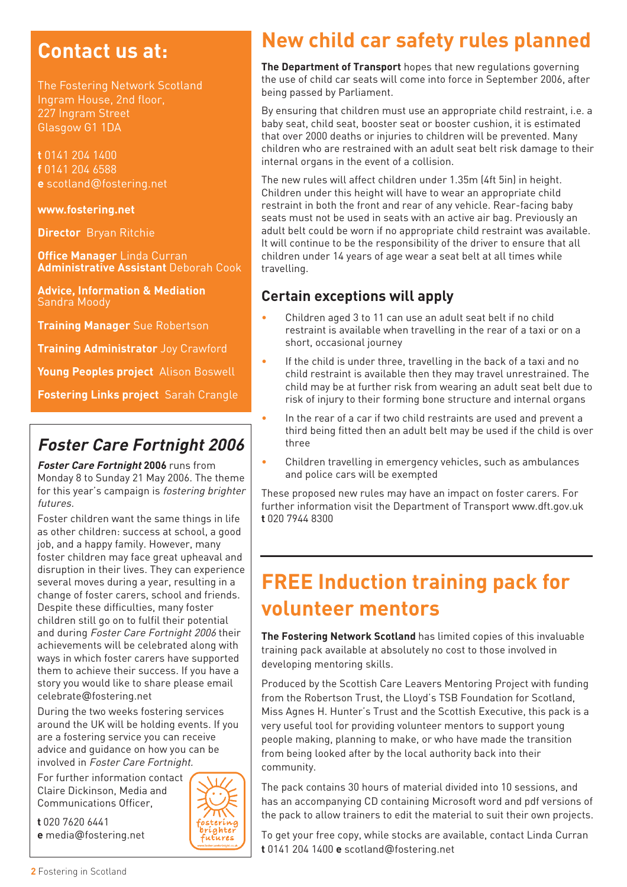#### **Contact us at:**

The Fostering Network Scotland Ingram House, 2nd floor, 227 Ingram Street Glasgow G1 1DA

**t** 0141 204 1400 **f** 0141 204 6588 **e** scotland@fostering.net

#### **www.fostering.net**

**Director** Bryan Ritchie

**Office Manager** Linda Curran **Administrative Assistant** Deborah Cook

**Advice, Information & Mediation**  Sandra Moody

**Training Manager** Sue Robertson

**Training Administrator** Joy Crawford

**Young Peoples project** Alison Boswell

**Fostering Links project** Sarah Crangle

#### **Foster Care Fortnight 2006**

**Foster Care Fortnight 2006** runs from Monday 8 to Sunday 21 May 2006. The theme for this year's campaign is fostering brighter futures.

Foster children want the same things in life as other children: success at school, a good job, and a happy family. However, many foster children may face great upheaval and disruption in their lives. They can experience several moves during a year, resulting in a change of foster carers, school and friends. Despite these difficulties, many foster children still go on to fulfil their potential and during Foster Care Fortnight 2006 their achievements will be celebrated along with ways in which foster carers have supported them to achieve their success. If you have a story you would like to share please email celebrate@fostering.net

During the two weeks fostering services around the UK will be holding events. If you are a fostering service you can receive advice and guidance on how you can be involved in Foster Care Fortnight.

For further information contact Claire Dickinson, Media and Communications Officer,

# bríahtei

## **New child car safety rules planned**

**The Department of Transport** hopes that new regulations governing the use of child car seats will come into force in September 2006, after being passed by Parliament.

By ensuring that children must use an appropriate child restraint, i.e. a baby seat, child seat, booster seat or booster cushion, it is estimated that over 2000 deaths or injuries to children will be prevented. Many children who are restrained with an adult seat belt risk damage to their internal organs in the event of a collision.

The new rules will affect children under 1.35m (4ft 5in) in height. Children under this height will have to wear an appropriate child restraint in both the front and rear of any vehicle. Rear-facing baby seats must not be used in seats with an active air bag. Previously an adult belt could be worn if no appropriate child restraint was available. It will continue to be the responsibility of the driver to ensure that all children under 14 years of age wear a seat belt at all times while travelling.

#### **Certain exceptions will apply**

- Children aged 3 to 11 can use an adult seat belt if no child restraint is available when travelling in the rear of a taxi or on a short, occasional journey
- If the child is under three, travelling in the back of a taxi and no child restraint is available then they may travel unrestrained. The child may be at further risk from wearing an adult seat belt due to risk of injury to their forming bone structure and internal organs
- In the rear of a car if two child restraints are used and prevent a third being fitted then an adult belt may be used if the child is over three
- Children travelling in emergency vehicles, such as ambulances and police cars will be exempted

These proposed new rules may have an impact on foster carers. For further information visit the Department of Transport www.dft.gov.uk **t** 020 7944 8300

## **FREE Induction training pack for volunteer mentors**

**The Fostering Network Scotland** has limited copies of this invaluable training pack available at absolutely no cost to those involved in developing mentoring skills.

Produced by the Scottish Care Leavers Mentoring Project with funding from the Robertson Trust, the Lloyd's TSB Foundation for Scotland, Miss Agnes H. Hunter's Trust and the Scottish Executive, this pack is a very useful tool for providing volunteer mentors to support young people making, planning to make, or who have made the transition from being looked after by the local authority back into their community.

The pack contains 30 hours of material divided into 10 sessions, and has an accompanying CD containing Microsoft word and pdf versions of the pack to allow trainers to edit the material to suit their own projects.

To get your free copy, while stocks are available, contact Linda Curran **t** 0141 204 1400 **e** scotland@fostering.net

**2** Fostering in Scotland

**e** media@fostering.net

**t** 020 7620 6441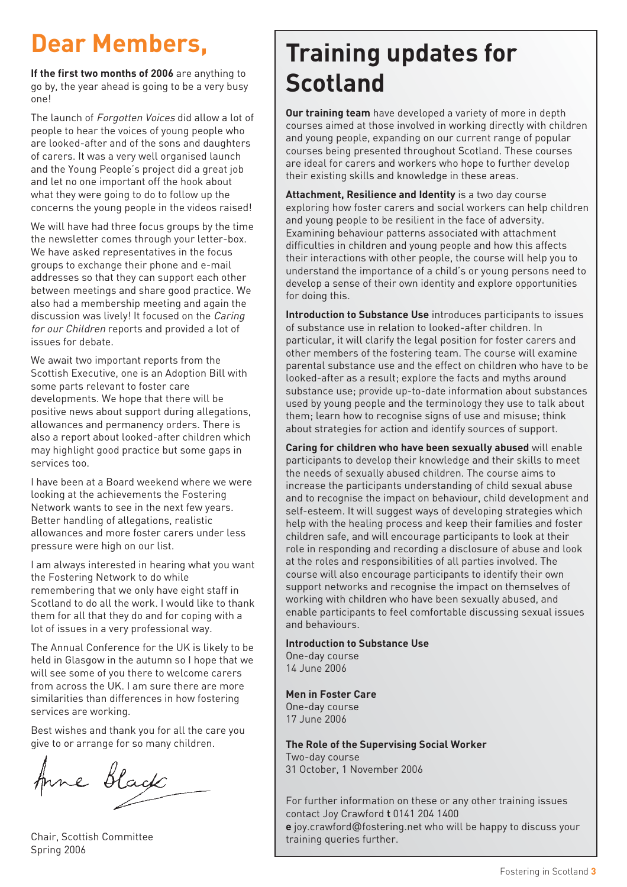## **Dear Members,**

**If the first two months of 2006** are anything to go by, the year ahead is going to be a very busy one!

The launch of Forgotten Voices did allow a lot of people to hear the voices of young people who are looked-after and of the sons and daughters of carers. It was a very well organised launch and the Young People's project did a great job and let no one important off the hook about what they were going to do to follow up the concerns the young people in the videos raised!

We will have had three focus groups by the time the newsletter comes through your letter-box. We have asked representatives in the focus groups to exchange their phone and e-mail addresses so that they can support each other between meetings and share good practice. We also had a membership meeting and again the discussion was lively! It focused on the Caring for our Children reports and provided a lot of issues for debate.

We await two important reports from the Scottish Executive, one is an Adoption Bill with some parts relevant to foster care developments. We hope that there will be positive news about support during allegations, allowances and permanency orders. There is also a report about looked-after children which may highlight good practice but some gaps in services too.

I have been at a Board weekend where we were looking at the achievements the Fostering Network wants to see in the next few years. Better handling of allegations, realistic allowances and more foster carers under less pressure were high on our list.

I am always interested in hearing what you want the Fostering Network to do while remembering that we only have eight staff in Scotland to do all the work. I would like to thank them for all that they do and for coping with a lot of issues in a very professional way.

The Annual Conference for the UK is likely to be held in Glasgow in the autumn so I hope that we will see some of you there to welcome carers from across the UK. I am sure there are more similarities than differences in how fostering services are working.

Best wishes and thank you for all the care you give to or arrange for so many children.

Anne Black

Chair, Scottish Committee Spring 2006

## **Training updates for Scotland**

**Our training team** have developed a variety of more in depth courses aimed at those involved in working directly with children and young people, expanding on our current range of popular courses being presented throughout Scotland. These courses are ideal for carers and workers who hope to further develop their existing skills and knowledge in these areas.

**Attachment, Resilience and Identity** is a two day course exploring how foster carers and social workers can help children and young people to be resilient in the face of adversity. Examining behaviour patterns associated with attachment difficulties in children and young people and how this affects their interactions with other people, the course will help you to understand the importance of a child's or young persons need to develop a sense of their own identity and explore opportunities for doing this.

**Introduction to Substance Use** introduces participants to issues of substance use in relation to looked-after children. In particular, it will clarify the legal position for foster carers and other members of the fostering team. The course will examine parental substance use and the effect on children who have to be looked-after as a result; explore the facts and myths around substance use; provide up-to-date information about substances used by young people and the terminology they use to talk about them; learn how to recognise signs of use and misuse; think about strategies for action and identify sources of support.

**Caring for children who have been sexually abused** will enable participants to develop their knowledge and their skills to meet the needs of sexually abused children. The course aims to increase the participants understanding of child sexual abuse and to recognise the impact on behaviour, child development and self-esteem. It will suggest ways of developing strategies which help with the healing process and keep their families and foster children safe, and will encourage participants to look at their role in responding and recording a disclosure of abuse and look at the roles and responsibilities of all parties involved. The course will also encourage participants to identify their own support networks and recognise the impact on themselves of working with children who have been sexually abused, and enable participants to feel comfortable discussing sexual issues and behaviours.

**New course Introduction to Substance Use** One-day course 14 June 2006

**Men in Foster Care** One-day course 17 June 2006

**The Role of the Supervising Social Worker** Two-day course 31 October, 1 November 2006

For further information on these or any other training issues contact Joy Crawford **t** 0141 204 1400 **e** joy.crawford@fostering.net who will be happy to discuss your training queries further.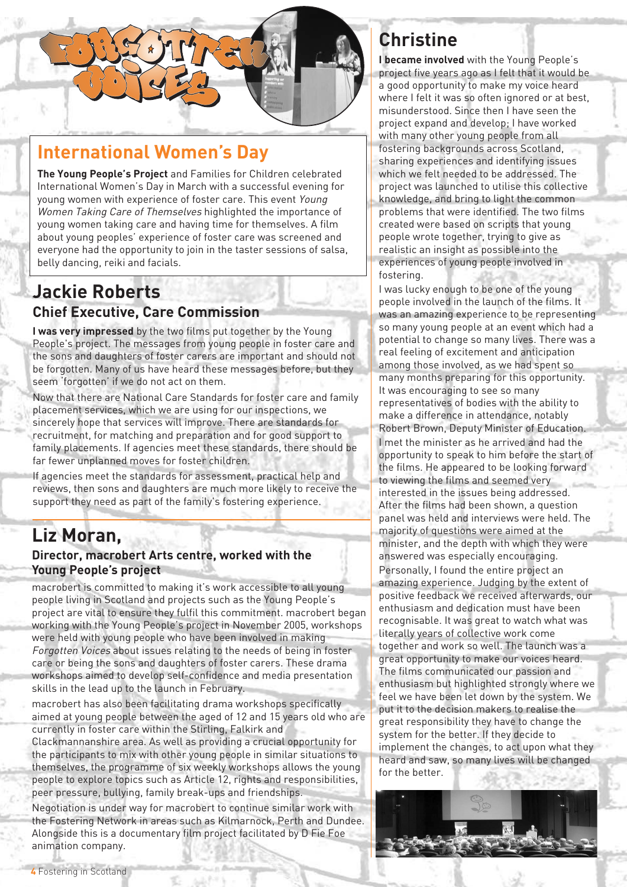

#### **International Women's Day**

**The Young People's Project** and Families for Children celebrated International Women's Day in March with a successful evening for young women with experience of foster care. This event Young Women Taking Care of Themselves highlighted the importance of young women taking care and having time for themselves. A film about young peoples' experience of foster care was screened and everyone had the opportunity to join in the taster sessions of salsa, belly dancing, reiki and facials.

#### **Jackie Roberts Chief Executive, Care Commission**

**I was very impressed** by the two films put together by the Young People's project. The messages from young people in foster care and the sons and daughters of foster carers are important and should not be forgotten. Many of us have heard these messages before, but they seem 'forgotten' if we do not act on them.

Now that there are National Care Standards for foster care and family placement services, which we are using for our inspections, we sincerely hope that services will improve. There are standards for recruitment, for matching and preparation and for good support to family placements. If agencies meet these standards, there should be far fewer unplanned moves for foster children.

If agencies meet the standards for assessment, practical help and reviews, then sons and daughters are much more likely to receive the support they need as part of the family's fostering experience.

#### **Liz Moran,**

#### **Director, macrobert Arts centre, worked with the Young People's project**

macrobert is committed to making it's work accessible to all young people living in Scotland and projects such as the Young People's project are vital to ensure they fulfil this commitment. macrobert began working with the Young People's project in November 2005, workshops were held with young people who have been involved in making Forgotten Voices about issues relating to the needs of being in foster care or being the sons and daughters of foster carers. These drama workshops aimed to develop self-confidence and media presentation skills in the lead up to the launch in February.

macrobert has also been facilitating drama workshops specifically aimed at young people between the aged of 12 and 15 years old who are currently in foster care within the Stirling, Falkirk and

Clackmannanshire area. As well as providing a crucial opportunity for the participants to mix with other young people in similar situations to themselves, the programme of six weekly workshops allows the young people to explore topics such as Article 12, rights and responsibilities, peer pressure, bullying, family break-ups and friendships.

Negotiation is under way for macrobert to continue similar work with the Fostering Network in areas such as Kilmarnock, Perth and Dundee. Alongside this is a documentary film project facilitated by D Fie Foe animation company.

### **Christine**

**I became involved** with the Young People's project five years ago as I felt that it would be a good opportunity to make my voice heard where I felt it was so often ignored or at best, misunderstood. Since then I have seen the project expand and develop; I have worked with many other young people from all fostering backgrounds across Scotland, sharing experiences and identifying issues which we felt needed to be addressed. The project was launched to utilise this collective knowledge, and bring to light the common problems that were identified. The two films created were based on scripts that young people wrote together, trying to give as realistic an insight as possible into the experiences of young people involved in fostering.

I was lucky enough to be one of the young people involved in the launch of the films. It was an amazing experience to be representing so many young people at an event which had a potential to change so many lives. There was a real feeling of excitement and anticipation among those involved, as we had spent so many months preparing for this opportunity. It was encouraging to see so many representatives of bodies with the ability to make a difference in attendance, notably Robert Brown, Deputy Minister of Education. I met the minister as he arrived and had the opportunity to speak to him before the start of the films. He appeared to be looking forward to viewing the films and seemed very interested in the issues being addressed. After the films had been shown, a question panel was held and interviews were held. The majority of questions were aimed at the minister, and the depth with which they were answered was especially encouraging. Personally, I found the entire project an amazing experience. Judging by the extent of positive feedback we received afterwards, our enthusiasm and dedication must have been recognisable. It was great to watch what was literally years of collective work come together and work so well. The launch was a great opportunity to make our voices heard. The films communicated our passion and enthusiasm but highlighted strongly where we feel we have been let down by the system. We put it to the decision makers to realise the great responsibility they have to change the system for the better. If they decide to implement the changes, to act upon what they heard and saw, so many lives will be changed for the better.

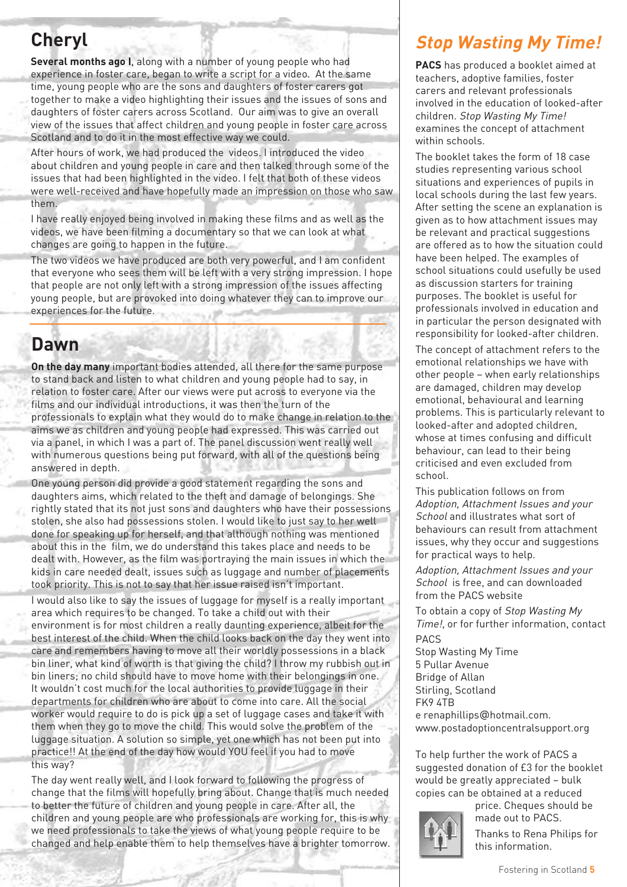## **Cheryl**

**Several months ago I**, along with a number of young people who had experience in foster care, began to write a script for a video. At the same time, young people who are the sons and daughters of foster carers got together to make a video highlighting their issues and the issues of sons and daughters of foster carers across Scotland. Our aim was to give an overall view of the issues that affect children and young people in foster care across Scotland and to do it in the most effective way we could.

After hours of work, we had produced the videos. I introduced the video about children and young people in care and then talked through some of the issues that had been highlighted in the video. I felt that both of these videos were well-received and have hopefully made an impression on those who saw them.

I have really enjoyed being involved in making these films and as well as the videos, we have been filming a documentary so that we can look at what changes are going to happen in the future.

The two videos we have produced are both very powerful, and I am confident that everyone who sees them will be left with a very strong impression. I hope that people are not only left with a strong impression of the issues affecting young people, but are provoked into doing whatever they can to improve our experiences for the future.

### **Dawn**

**On the day many** important bodies attended, all there for the same purpose to stand back and listen to what children and young people had to say, in relation to foster care. After our views were put across to everyone via the films and our individual introductions, it was then the turn of the professionals to explain what they would do to make change in relation to the aims we as children and young people had expressed. This was carried out via a panel, in which I was a part of. The panel discussion went really well with numerous questions being put forward, with all of the questions being answered in depth.

One young person did provide a good statement regarding the sons and daughters aims, which related to the theft and damage of belongings. She rightly stated that its not just sons and daughters who have their possessions stolen, she also had possessions stolen. I would like to just say to her well done for speaking up for herself, and that although nothing was mentioned about this in the film, we do understand this takes place and needs to be dealt with. However, as the film was portraying the main issues in which the kids in care needed dealt, issues such as luggage and number of placements took priority. This is not to say that her issue raised isn't important.

I would also like to say the issues of luggage for myself is a really important area which requires to be changed. To take a child out with their environment is for most children a really daunting experience, albeit for the best interest of the child. When the child looks back on the day they went into care and remembers having to move all their worldly possessions in a black bin liner, what kind of worth is that giving the child? I throw my rubbish out in bin liners; no child should have to move home with their belongings in one. It wouldn't cost much for the local authorities to provide luggage in their departments for children who are about to come into care. All the social worker would require to do is pick up a set of luggage cases and take it with them when they go to move the child. This would solve the problem of the luggage situation. A solution so simple, yet one which has not been put into practice!! At the end of the day how would YOU feel if you had to move this way?

The day went really well, and I look forward to following the progress of change that the films will hopefully bring about. Change that is much needed to better the future of children and young people in care. After all, the children and young people are who professionals are working for, this is why we need professionals to take the views of what young people require to be changed and help enable them to help themselves have a brighter tomorrow.

#### **Stop Wasting My Time!**

**PACS** has produced a booklet aimed at teachers, adoptive families, foster carers and relevant professionals involved in the education of looked-after children. Stop Wasting My Time! examines the concept of attachment within schools.

The booklet takes the form of 18 case studies representing various school situations and experiences of pupils in local schools during the last few years. After setting the scene an explanation is given as to how attachment issues may be relevant and practical suggestions are offered as to how the situation could have been helped. The examples of school situations could usefully be used as discussion starters for training purposes. The booklet is useful for professionals involved in education and in particular the person designated with responsibility for looked-after children.

The concept of attachment refers to the emotional relationships we have with other people – when early relationships are damaged, children may develop emotional, behavioural and learning problems. This is particularly relevant to looked-after and adopted children, whose at times confusing and difficult behaviour, can lead to their being criticised and even excluded from school.

This publication follows on from Adoption, Attachment Issues and your School and illustrates what sort of behaviours can result from attachment issues, why they occur and suggestions for practical ways to help.

Adoption, Attachment Issues and your School is free, and can downloaded from the PACS website

To obtain a copy of Stop Wasting My Time!, or for further information, contact

PACS Stop Wasting My Time 5 Pullar Avenue Bridge of Allan Stirling, Scotland FK9 4TB e renaphillips@hotmail.com. www.postadoptioncentralsupport.org

To help further the work of PACS a suggested donation of £3 for the booklet would be greatly appreciated – bulk copies can be obtained at a reduced



price. Cheques should be made out to PACS.

Thanks to Rena Philips for this information.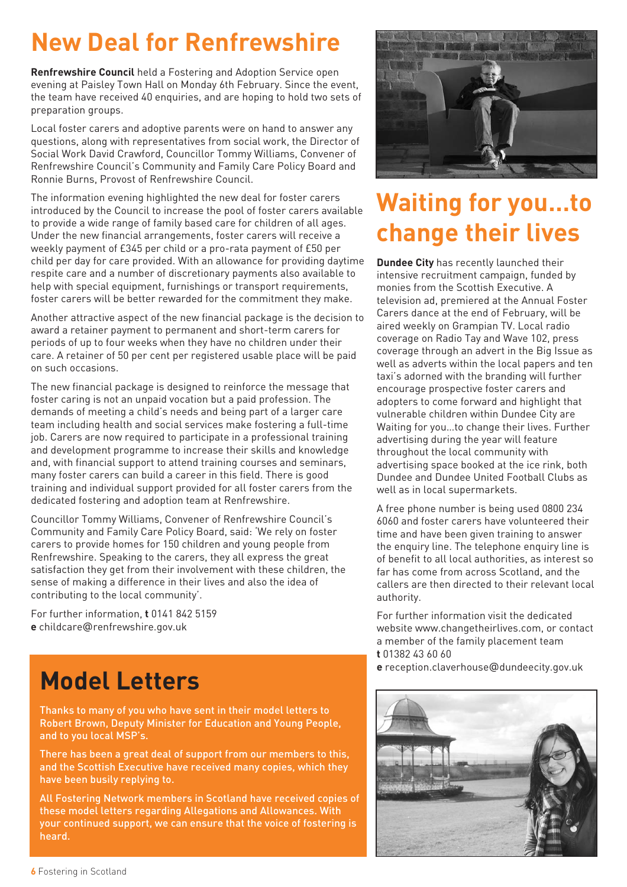# **New Deal for Renfrewshire**

**Renfrewshire Council** held a Fostering and Adoption Service open evening at Paisley Town Hall on Monday 6th February. Since the event, the team have received 40 enquiries, and are hoping to hold two sets of preparation groups.

Local foster carers and adoptive parents were on hand to answer any questions, along with representatives from social work, the Director of Social Work David Crawford, Councillor Tommy Williams, Convener of Renfrewshire Council's Community and Family Care Policy Board and Ronnie Burns, Provost of Renfrewshire Council.

The information evening highlighted the new deal for foster carers introduced by the Council to increase the pool of foster carers available to provide a wide range of family based care for children of all ages. Under the new financial arrangements, foster carers will receive a weekly payment of £345 per child or a pro-rata payment of £50 per child per day for care provided. With an allowance for providing daytime respite care and a number of discretionary payments also available to help with special equipment, furnishings or transport requirements, foster carers will be better rewarded for the commitment they make.

Another attractive aspect of the new financial package is the decision to award a retainer payment to permanent and short-term carers for periods of up to four weeks when they have no children under their care. A retainer of 50 per cent per registered usable place will be paid on such occasions.

The new financial package is designed to reinforce the message that foster caring is not an unpaid vocation but a paid profession. The demands of meeting a child's needs and being part of a larger care team including health and social services make fostering a full-time job. Carers are now required to participate in a professional training and development programme to increase their skills and knowledge and, with financial support to attend training courses and seminars, many foster carers can build a career in this field. There is good training and individual support provided for all foster carers from the dedicated fostering and adoption team at Renfrewshire.

Councillor Tommy Williams, Convener of Renfrewshire Council's Community and Family Care Policy Board, said: 'We rely on foster carers to provide homes for 150 children and young people from Renfrewshire. Speaking to the carers, they all express the great satisfaction they get from their involvement with these children, the sense of making a difference in their lives and also the idea of contributing to the local community'.

For further information, **t** 0141 842 5159 **e** childcare@renfrewshire.gov.uk

# **Model Letters**

Thanks to many of you who have sent in their model letters to Robert Brown, Deputy Minister for Education and Young People, and to you local MSP's.

There has been a great deal of support from our members to this, and the Scottish Executive have received many copies, which they have been busily replying to.

All Fostering Network members in Scotland have received copies of these model letters regarding Allegations and Allowances. With your continued support, we can ensure that the voice of fostering is heard.



## **Waiting for you…to change their lives**

**Dundee City** has recently launched their intensive recruitment campaign, funded by monies from the Scottish Executive. A television ad, premiered at the Annual Foster Carers dance at the end of February, will be aired weekly on Grampian TV. Local radio coverage on Radio Tay and Wave 102, press coverage through an advert in the Big Issue as well as adverts within the local papers and ten taxi's adorned with the branding will further encourage prospective foster carers and adopters to come forward and highlight that vulnerable children within Dundee City are Waiting for you…to change their lives. Further advertising during the year will feature throughout the local community with advertising space booked at the ice rink, both Dundee and Dundee United Football Clubs as well as in local supermarkets.

A free phone number is being used 0800 234 6060 and foster carers have volunteered their time and have been given training to answer the enquiry line. The telephone enquiry line is of benefit to all local authorities, as interest so far has come from across Scotland, and the callers are then directed to their relevant local authority.

For further information visit the dedicated website www.changetheirlives.com, or contact a member of the family placement team **t** 01382 43 60 60

**e** reception.claverhouse@dundeecity.gov.uk

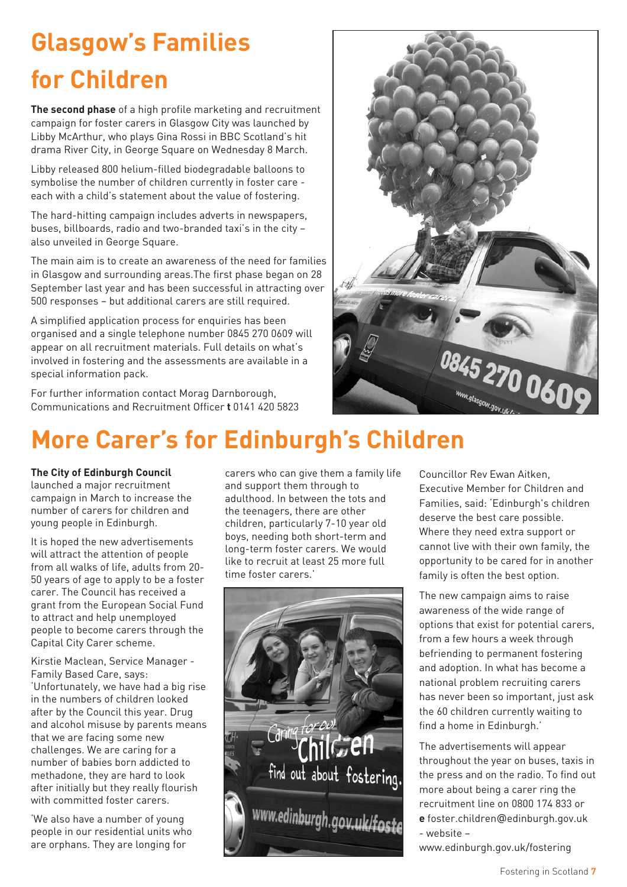# **Glasgow's Families for Children**

**The second phase** of a high profile marketing and recruitment campaign for foster carers in Glasgow City was launched by Libby McArthur, who plays Gina Rossi in BBC Scotland's hit drama River City, in George Square on Wednesday 8 March.

Libby released 800 helium-filled biodegradable balloons to symbolise the number of children currently in foster care each with a child's statement about the value of fostering.

The hard-hitting campaign includes adverts in newspapers, buses, billboards, radio and two-branded taxi's in the city – also unveiled in George Square.

The main aim is to create an awareness of the need for families in Glasgow and surrounding areas.The first phase began on 28 September last year and has been successful in attracting over 500 responses – but additional carers are still required.

A simplified application process for enquiries has been organised and a single telephone number 0845 270 0609 will appear on all recruitment materials. Full details on what's involved in fostering and the assessments are available in a special information pack.

For further information contact Morag Darnborough, Communications and Recruitment Officer **t** 0141 420 5823



# **More Carer's for Edinburgh's Children**

#### **The City of Edinburgh Council**

launched a major recruitment campaign in March to increase the number of carers for children and young people in Edinburgh.

It is hoped the new advertisements will attract the attention of people from all walks of life, adults from 20- 50 years of age to apply to be a foster carer. The Council has received a grant from the European Social Fund to attract and help unemployed people to become carers through the Capital City Carer scheme.

Kirstie Maclean, Service Manager - Family Based Care, says: 'Unfortunately, we have had a big rise in the numbers of children looked after by the Council this year. Drug and alcohol misuse by parents means that we are facing some new challenges. We are caring for a number of babies born addicted to methadone, they are hard to look after initially but they really flourish with committed foster carers.

'We also have a number of young people in our residential units who are orphans. They are longing for

carers who can give them a family life and support them through to adulthood. In between the tots and the teenagers, there are other children, particularly 7-10 year old boys, needing both short-term and long-term foster carers. We would like to recruit at least 25 more full time foster carers.'



Councillor Rev Ewan Aitken, Executive Member for Children and Families, said: 'Edinburgh's children deserve the best care possible. Where they need extra support or cannot live with their own family, the opportunity to be cared for in another family is often the best option.

The new campaign aims to raise awareness of the wide range of options that exist for potential carers, from a few hours a week through befriending to permanent fostering and adoption. In what has become a national problem recruiting carers has never been so important, just ask the 60 children currently waiting to find a home in Edinburgh.'

The advertisements will appear throughout the year on buses, taxis in the press and on the radio. To find out more about being a carer ring the recruitment line on 0800 174 833 or **e** foster.children@edinburgh.gov.uk - website –

www.edinburgh.gov.uk/fostering